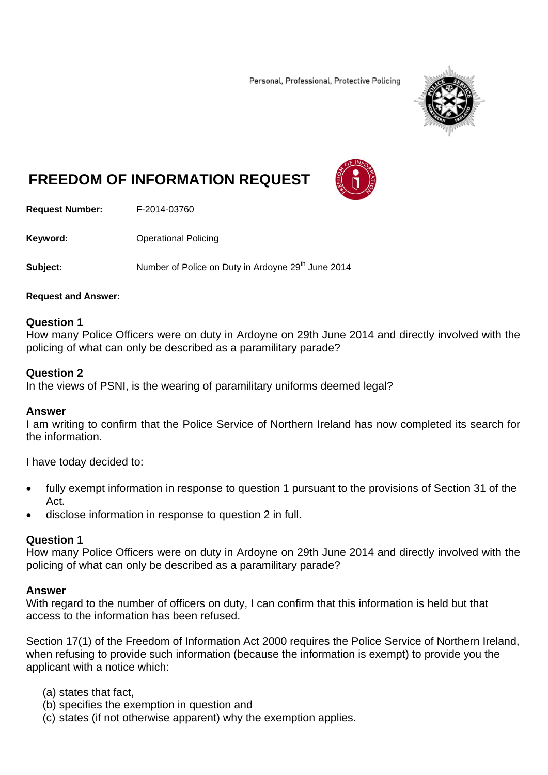Personal, Professional, Protective Policing



# **FREEDOM OF INFORMATION REQUEST**



**Request Number:** F-2014-03760

**Keyword: C**Derational Policing

**Subject:** Number of Police on Duty in Ardoyne 29<sup>th</sup> June 2014

#### **Request and Answer:**

#### **Question 1**

How many Police Officers were on duty in Ardoyne on 29th June 2014 and directly involved with the policing of what can only be described as a paramilitary parade?

#### **Question 2**

In the views of PSNI, is the wearing of paramilitary uniforms deemed legal?

## **Answer**

I am writing to confirm that the Police Service of Northern Ireland has now completed its search for the information.

I have today decided to:

- fully exempt information in response to question 1 pursuant to the provisions of Section 31 of the Act.
- disclose information in response to question 2 in full.

## **Question 1**

How many Police Officers were on duty in Ardoyne on 29th June 2014 and directly involved with the policing of what can only be described as a paramilitary parade?

## **Answer**

With regard to the number of officers on duty, I can confirm that this information is held but that access to the information has been refused.

Section 17(1) of the Freedom of Information Act 2000 requires the Police Service of Northern Ireland, when refusing to provide such information (because the information is exempt) to provide you the applicant with a notice which:

- (a) states that fact,
- (b) specifies the exemption in question and
- (c) states (if not otherwise apparent) why the exemption applies.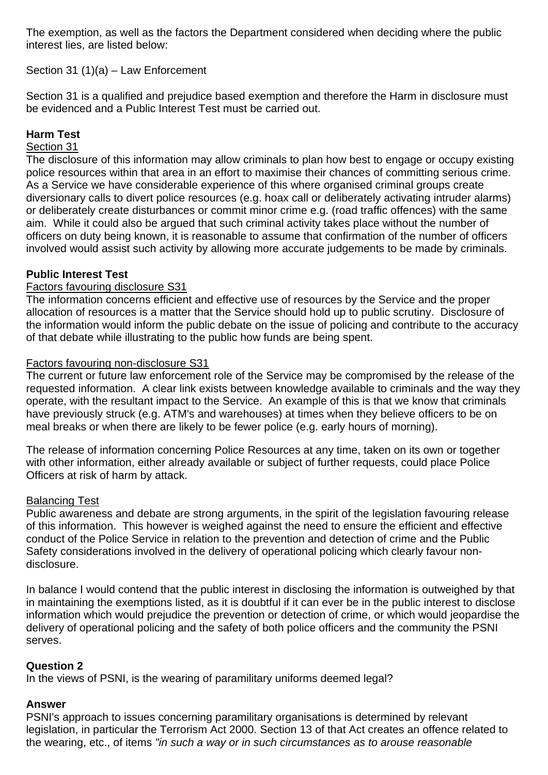The exemption, as well as the factors the Department considered when deciding where the public interest lies, are listed below:

Section 31 (1)(a) – Law Enforcement

Section 31 is a qualified and prejudice based exemption and therefore the Harm in disclosure must be evidenced and a Public Interest Test must be carried out.

## **Harm Test**

## Section 31

The disclosure of this information may allow criminals to plan how best to engage or occupy existing police resources within that area in an effort to maximise their chances of committing serious crime. As a Service we have considerable experience of this where organised criminal groups create diversionary calls to divert police resources (e.g. hoax call or deliberately activating intruder alarms) or deliberately create disturbances or commit minor crime e.g. (road traffic offences) with the same aim. While it could also be argued that such criminal activity takes place without the number of officers on duty being known, it is reasonable to assume that confirmation of the number of officers involved would assist such activity by allowing more accurate judgements to be made by criminals.

## **Public Interest Test**

## Factors favouring disclosure S31

The information concerns efficient and effective use of resources by the Service and the proper allocation of resources is a matter that the Service should hold up to public scrutiny. Disclosure of the information would inform the public debate on the issue of policing and contribute to the accuracy of that debate while illustrating to the public how funds are being spent.

## Factors favouring non-disclosure S31

The current or future law enforcement role of the Service may be compromised by the release of the requested information. A clear link exists between knowledge available to criminals and the way they operate, with the resultant impact to the Service. An example of this is that we know that criminals have previously struck (e.g. ATM's and warehouses) at times when they believe officers to be on meal breaks or when there are likely to be fewer police (e.g. early hours of morning).

The release of information concerning Police Resources at any time, taken on its own or together with other information, either already available or subject of further requests, could place Police Officers at risk of harm by attack.

## Balancing Test

Public awareness and debate are strong arguments, in the spirit of the legislation favouring release of this information. This however is weighed against the need to ensure the efficient and effective conduct of the Police Service in relation to the prevention and detection of crime and the Public Safety considerations involved in the delivery of operational policing which clearly favour nondisclosure.

In balance I would contend that the public interest in disclosing the information is outweighed by that in maintaining the exemptions listed, as it is doubtful if it can ever be in the public interest to disclose information which would prejudice the prevention or detection of crime, or which would jeopardise the delivery of operational policing and the safety of both police officers and the community the PSNI serves.

## **Question 2**

In the views of PSNI, is the wearing of paramilitary uniforms deemed legal?

## **Answer**

PSNI's approach to issues concerning paramilitary organisations is determined by relevant legislation, in particular the Terrorism Act 2000. Section 13 of that Act creates an offence related to the wearing, etc., of items *"in such a way or in such circumstances as to arouse reasonable*